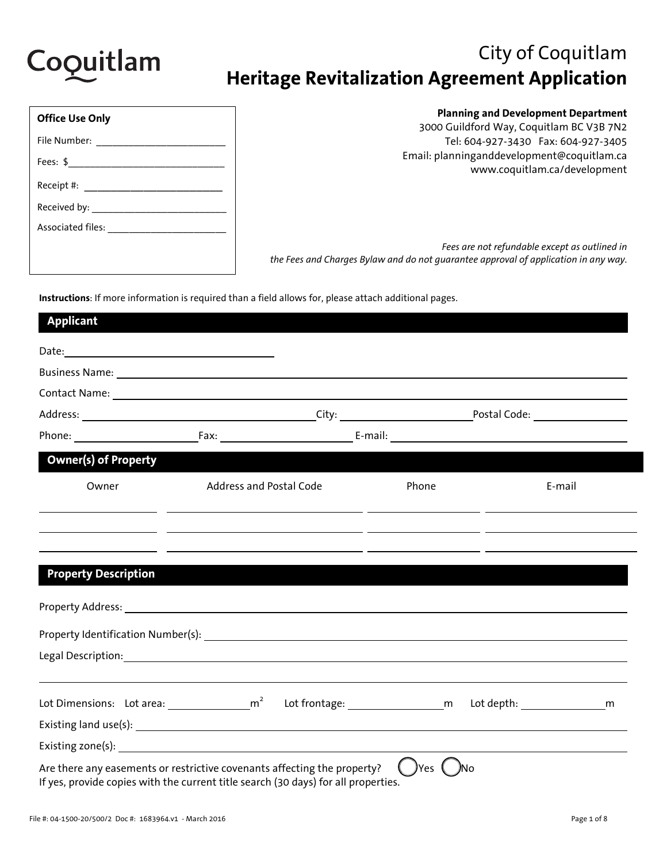

# City of Coquitlam **Heritage Revitalization Agreement Application**

| <b>Office Use Only</b>             |
|------------------------------------|
| File Number: _____                 |
| Fees: $\frac{1}{2}$                |
| Receipt #: ___________________     |
| Received by:                       |
| Associated files: ________________ |
|                                    |

### **Planning and Development Department**

3000 Guildford Way, Coquitlam BC V3B 7N2 Tel: 604-927-3430 Fax: 604-927-3405 Email: planninganddevelopment@coquitlam.ca www.coquitlam.ca/development

*Fees are not refundable except as outlined in the Fees and Charges Bylaw and do not guarantee approval of application in any way.* 

**Instructions**: If more information is required than a field allows for, please attach additional pages.

| <b>Applicant</b>                                                                                                                                               |                                                                                                                                                                                                                                               |  |        |                                |        |   |
|----------------------------------------------------------------------------------------------------------------------------------------------------------------|-----------------------------------------------------------------------------------------------------------------------------------------------------------------------------------------------------------------------------------------------|--|--------|--------------------------------|--------|---|
|                                                                                                                                                                |                                                                                                                                                                                                                                               |  |        |                                |        |   |
|                                                                                                                                                                |                                                                                                                                                                                                                                               |  |        |                                |        |   |
|                                                                                                                                                                |                                                                                                                                                                                                                                               |  |        |                                |        |   |
|                                                                                                                                                                |                                                                                                                                                                                                                                               |  |        |                                |        |   |
|                                                                                                                                                                |                                                                                                                                                                                                                                               |  |        |                                |        |   |
| <b>Owner(s) of Property</b>                                                                                                                                    |                                                                                                                                                                                                                                               |  |        |                                |        |   |
| Owner                                                                                                                                                          | Address and Postal Code                                                                                                                                                                                                                       |  | Phone  |                                | E-mail |   |
|                                                                                                                                                                | <u> 2000 - 2000 - 2000 - 2000 - 2000 - 2000 - 2000 - 2000 - 2000 - 2000 - 2000 - 2000 - 2000 - 2000 - 2000 - 200</u><br><u> 1999 - Johann Harry Harry Harry Harry Harry Harry Harry Harry Harry Harry Harry Harry Harry Harry Harry Harry</u> |  |        |                                |        |   |
|                                                                                                                                                                | <u> 1999 - Johann Stoff, amerikansk politiker (* 1908)</u>                                                                                                                                                                                    |  |        |                                |        |   |
| <b>Property Description</b>                                                                                                                                    |                                                                                                                                                                                                                                               |  |        |                                |        |   |
|                                                                                                                                                                |                                                                                                                                                                                                                                               |  |        |                                |        |   |
|                                                                                                                                                                |                                                                                                                                                                                                                                               |  |        |                                |        |   |
|                                                                                                                                                                |                                                                                                                                                                                                                                               |  |        |                                |        |   |
| Lot Dimensions: Lot area: $\frac{1}{2}$ m <sup>2</sup>                                                                                                         |                                                                                                                                                                                                                                               |  |        | Lot frontage: 100 m Lot depth: |        | m |
|                                                                                                                                                                |                                                                                                                                                                                                                                               |  |        |                                |        |   |
|                                                                                                                                                                |                                                                                                                                                                                                                                               |  |        |                                |        |   |
| Are there any easements or restrictive covenants affecting the property?<br>If yes, provide copies with the current title search (30 days) for all properties. |                                                                                                                                                                                                                                               |  | )Yes ( | ,<br>Мо                        |        |   |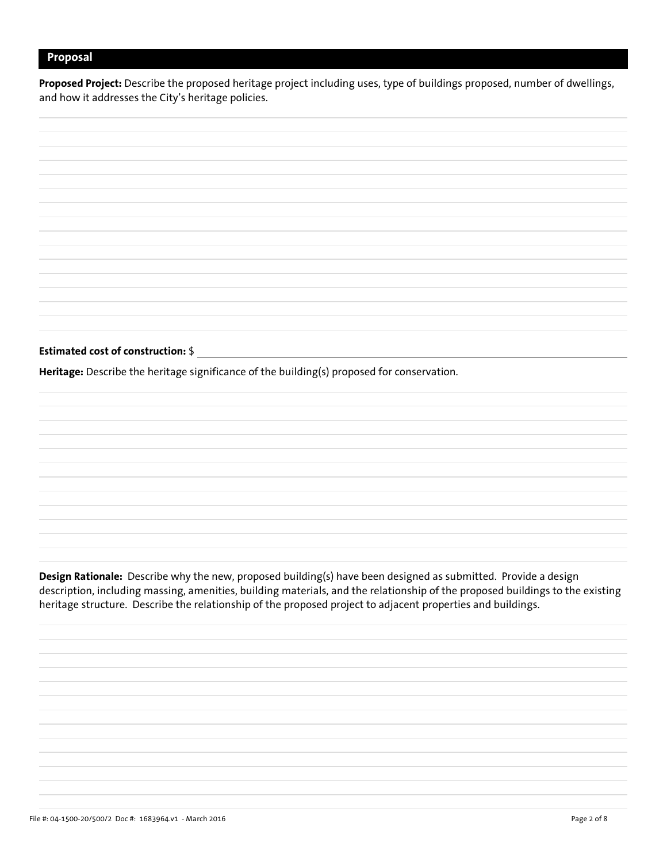### **Proposal**

**Proposed Project:** Describe the proposed heritage project including uses, type of buildings proposed, number of dwellings, and how it addresses the City's heritage policies.

**Estimated cost of construction:** \$ **Heritage:** Describe the heritage significance of the building(s) proposed for conservation.

**Design Rationale:** Describe why the new, proposed building(s) have been designed as submitted. Provide a design description, including massing, amenities, building materials, and the relationship of the proposed buildings to the existing heritage structure. Describe the relationship of the proposed project to adjacent properties and buildings.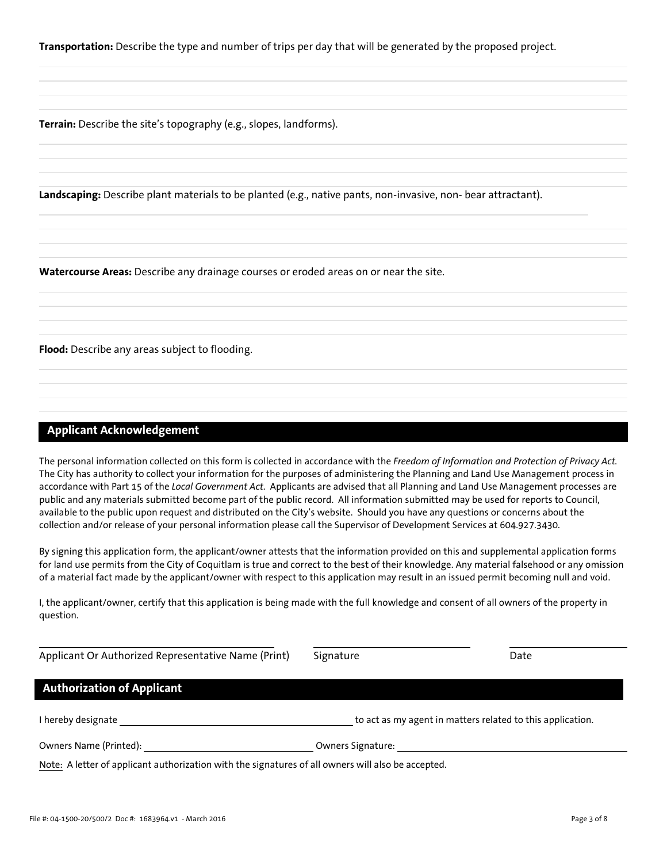**Transportation:** Describe the type and number of trips per day that will be generated by the proposed project.

**Terrain:** Describe the site's topography (e.g., slopes, landforms).

**Landscaping:** Describe plant materials to be planted (e.g., native pants, non-invasive, non- bear attractant).

**Watercourse Areas:** Describe any drainage courses or eroded areas on or near the site.

**Flood:** Describe any areas subject to flooding.

### **Applicant Acknowledgement**

The personal information collected on this form is collected in accordance with the *Freedom of Information and Protection of Privacy Act.* The City has authority to collect your information for the purposes of administering the Planning and Land Use Management process in accordance with Part 15 of the *Local Government Act*. Applicants are advised that all Planning and Land Use Management processes are public and any materials submitted become part of the public record. All information submitted may be used for reports to Council, available to the public upon request and distributed on the City's website. Should you have any questions or concerns about the collection and/or release of your personal information please call the Supervisor of Development Services at 604.927.3430.

By signing this application form, the applicant/owner attests that the information provided on this and supplemental application forms for land use permits from the City of Coquitlam is true and correct to the best of their knowledge. Any material falsehood or any omission of a material fact made by the applicant/owner with respect to this application may result in an issued permit becoming null and void.

I, the applicant/owner, certify that this application is being made with the full knowledge and consent of all owners of the property in question.

| Applicant Or Authorized Representative Name (Print)                                                | Signature         | Date                                                       |
|----------------------------------------------------------------------------------------------------|-------------------|------------------------------------------------------------|
| <b>Authorization of Applicant</b>                                                                  |                   |                                                            |
| I hereby designate                                                                                 |                   | to act as my agent in matters related to this application. |
| Owners Name (Printed):                                                                             | Owners Signature: |                                                            |
| Note: A letter of applicant authorization with the signatures of all owners will also be accepted. |                   |                                                            |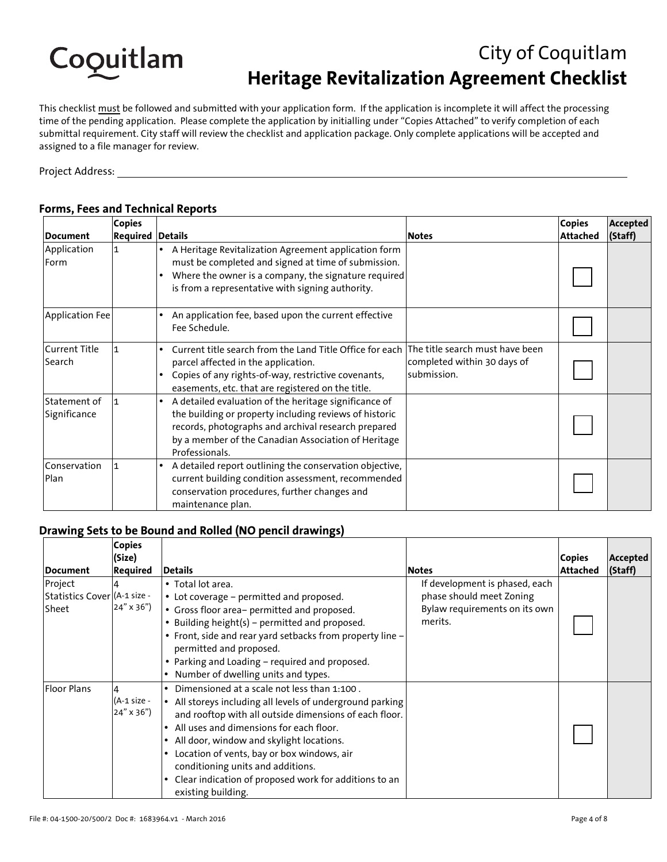

# City of Coquitlam **Heritage Revitalization Agreement Checklist**

This checklist must be followed and submitted with your application form. If the application is incomplete it will affect the processing time of the pending application. Please complete the application by initialling under "Copies Attached" to verify completion of each submittal requirement. City staff will review the checklist and application package. Only complete applications will be accepted and assigned to a file manager for review.

Project Address:

|                                | <b>Copies</b>           |                                                                                                                                                                                                                                                              |                                            | <b>Copies</b>   | <b>Accepted</b> |
|--------------------------------|-------------------------|--------------------------------------------------------------------------------------------------------------------------------------------------------------------------------------------------------------------------------------------------------------|--------------------------------------------|-----------------|-----------------|
| Document                       | <b>Required Details</b> |                                                                                                                                                                                                                                                              | <b>Notes</b>                               | <b>Attached</b> | (Staff)         |
| Application<br>Form            | 11                      | A Heritage Revitalization Agreement application form<br>must be completed and signed at time of submission.<br>Where the owner is a company, the signature required<br>is from a representative with signing authority.                                      |                                            |                 |                 |
| Application Fee                |                         | An application fee, based upon the current effective<br>Fee Schedule.                                                                                                                                                                                        |                                            |                 |                 |
| <b>Current Title</b><br>Search |                         | Current title search from the Land Title Office for each The title search must have been<br>parcel affected in the application.<br>Copies of any rights-of-way, restrictive covenants,<br>easements, etc. that are registered on the title.                  | completed within 30 days of<br>submission. |                 |                 |
| Statement of<br>Significance   |                         | A detailed evaluation of the heritage significance of<br>$\bullet$<br>the building or property including reviews of historic<br>records, photographs and archival research prepared<br>by a member of the Canadian Association of Heritage<br>Professionals. |                                            |                 |                 |
| Conservation<br>Plan           | 11                      | A detailed report outlining the conservation objective,<br>$\bullet$<br>current building condition assessment, recommended<br>conservation procedures, further changes and<br>maintenance plan.                                                              |                                            |                 |                 |

### **Forms, Fees and Technical Reports**

### **Drawing Sets to be Bound and Rolled (NO pencil drawings)**

| Document                                         | <b>Copies</b><br>(Size)<br><b>Required</b> | <b>Details</b>                                                                                                                                                                                                                                                                                                                                                                                                                           | <b>Notes</b>                                                                                           | <b>Copies</b><br><b>Attached</b> | Accepted<br>(Staff) |
|--------------------------------------------------|--------------------------------------------|------------------------------------------------------------------------------------------------------------------------------------------------------------------------------------------------------------------------------------------------------------------------------------------------------------------------------------------------------------------------------------------------------------------------------------------|--------------------------------------------------------------------------------------------------------|----------------------------------|---------------------|
| Project<br>Statistics Cover (A-1 size -<br>Sheet | $24'' \times 36'$                          | • Total lot area.<br>• Lot coverage - permitted and proposed.<br>• Gross floor area- permitted and proposed.<br>• Building height(s) - permitted and proposed.<br>• Front, side and rear yard setbacks from property line -<br>permitted and proposed.<br>• Parking and Loading - required and proposed.<br>Number of dwelling units and types.                                                                                          | If development is phased, each<br>phase should meet Zoning<br>Bylaw requirements on its own<br>merits. |                                  |                     |
| <b>Floor Plans</b>                               | (A-1 size -<br>$24'' \times 36'$           | Dimensioned at a scale not less than 1:100.<br>• All storeys including all levels of underground parking<br>and rooftop with all outside dimensions of each floor.<br>All uses and dimensions for each floor.<br>All door, window and skylight locations.<br>$\bullet$<br>Location of vents, bay or box windows, air<br>conditioning units and additions.<br>Clear indication of proposed work for additions to an<br>existing building. |                                                                                                        |                                  |                     |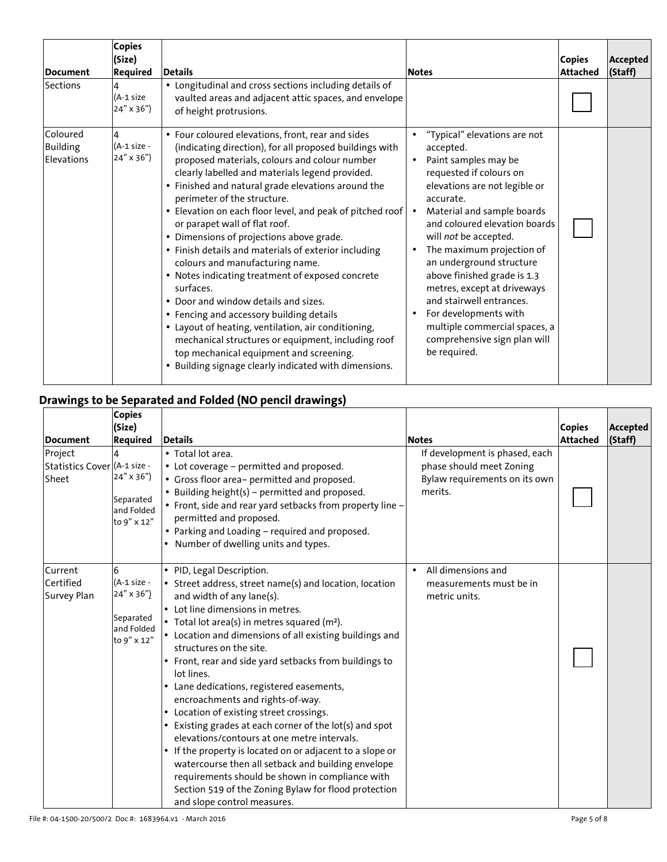| <b>Document</b>                           | <b>Copies</b><br>(Size)<br><b>Required</b> | <b>Details</b>                                                                                                                                                                                                                                                                                                                                                                                                                                                                                                                                                                                                                                                                                                                                                                                                                                                                                                   | <b>Notes</b>                                                                                                                                                                                                                                                                                                                                                                                                                                                                                                                           | <b>Copies</b><br><b>Attached</b> | Accepted<br>(Staff) |
|-------------------------------------------|--------------------------------------------|------------------------------------------------------------------------------------------------------------------------------------------------------------------------------------------------------------------------------------------------------------------------------------------------------------------------------------------------------------------------------------------------------------------------------------------------------------------------------------------------------------------------------------------------------------------------------------------------------------------------------------------------------------------------------------------------------------------------------------------------------------------------------------------------------------------------------------------------------------------------------------------------------------------|----------------------------------------------------------------------------------------------------------------------------------------------------------------------------------------------------------------------------------------------------------------------------------------------------------------------------------------------------------------------------------------------------------------------------------------------------------------------------------------------------------------------------------------|----------------------------------|---------------------|
| Sections                                  | (A-1 size<br>24" x 36")                    | • Longitudinal and cross sections including details of<br>vaulted areas and adjacent attic spaces, and envelope<br>of height protrusions.                                                                                                                                                                                                                                                                                                                                                                                                                                                                                                                                                                                                                                                                                                                                                                        |                                                                                                                                                                                                                                                                                                                                                                                                                                                                                                                                        |                                  |                     |
| Coloured<br><b>Building</b><br>Elevations | (A-1 size -<br>$24'' \times 36'$           | • Four coloured elevations, front, rear and sides<br>(indicating direction), for all proposed buildings with<br>proposed materials, colours and colour number<br>clearly labelled and materials legend provided.<br>• Finished and natural grade elevations around the<br>perimeter of the structure.<br>• Elevation on each floor level, and peak of pitched roof<br>or parapet wall of flat roof.<br>• Dimensions of projections above grade.<br>• Finish details and materials of exterior including<br>colours and manufacturing name.<br>• Notes indicating treatment of exposed concrete<br>surfaces.<br>• Door and window details and sizes.<br>• Fencing and accessory building details<br>• Layout of heating, ventilation, air conditioning,<br>mechanical structures or equipment, including roof<br>top mechanical equipment and screening.<br>• Building signage clearly indicated with dimensions. | "Typical" elevations are not<br>$\bullet$<br>accepted.<br>Paint samples may be<br>$\bullet$<br>requested if colours on<br>elevations are not legible or<br>accurate.<br>Material and sample boards<br>and coloured elevation boards<br>will not be accepted.<br>The maximum projection of<br>an underground structure<br>above finished grade is 1.3<br>metres, except at driveways<br>and stairwell entrances.<br>For developments with<br>$\bullet$<br>multiple commercial spaces, a<br>comprehensive sign plan will<br>be required. |                                  |                     |

## **Drawings to be Separated and Folded (NO pencil drawings)**

| Document                                         | <b>Copies</b><br>(Size)<br><b>Required</b>                                      | <b>Details</b>                                                                                                                                                                                                                                                                                                                                                                                                                                                                                                                                                                                                                                                                                                                                                                                                                                                                                      | <b>Notes</b>                                                                                           | <b>Copies</b><br><b>Attached</b> | <b>Accepted</b><br>(Staff) |
|--------------------------------------------------|---------------------------------------------------------------------------------|-----------------------------------------------------------------------------------------------------------------------------------------------------------------------------------------------------------------------------------------------------------------------------------------------------------------------------------------------------------------------------------------------------------------------------------------------------------------------------------------------------------------------------------------------------------------------------------------------------------------------------------------------------------------------------------------------------------------------------------------------------------------------------------------------------------------------------------------------------------------------------------------------------|--------------------------------------------------------------------------------------------------------|----------------------------------|----------------------------|
| Project<br>Statistics Cover (A-1 size -<br>Sheet | 24" x 36")<br>Separated<br>and Folded<br>to 9" x 12"                            | • Total lot area.<br>• Lot coverage - permitted and proposed.<br>• Gross floor area- permitted and proposed.<br>• Building height(s) - permitted and proposed.<br>• Front, side and rear yard setbacks from property line -<br>permitted and proposed.<br>• Parking and Loading - required and proposed.<br>• Number of dwelling units and types.                                                                                                                                                                                                                                                                                                                                                                                                                                                                                                                                                   | If development is phased, each<br>phase should meet Zoning<br>Bylaw requirements on its own<br>merits. |                                  |                            |
| Current<br>Certified<br>Survey Plan              | 6<br>(A-1 size -<br>$24'' \times 36'$<br>Separated<br>and Folded<br>to 9" x 12" | • PID, Legal Description.<br>$\bullet$ Street address, street name(s) and location, location<br>and width of any lane(s).<br>• Lot line dimensions in metres.<br>• Total lot area(s) in metres squared (m <sup>2</sup> ).<br>$\bullet$ Location and dimensions of all existing buildings and<br>structures on the site.<br>• Front, rear and side yard setbacks from buildings to<br>lot lines.<br>• Lane dedications, registered easements,<br>encroachments and rights-of-way.<br>• Location of existing street crossings.<br>• Existing grades at each corner of the lot(s) and spot<br>elevations/contours at one metre intervals.<br>• If the property is located on or adjacent to a slope or<br>watercourse then all setback and building envelope<br>requirements should be shown in compliance with<br>Section 519 of the Zoning Bylaw for flood protection<br>and slope control measures. | All dimensions and<br>measurements must be in<br>metric units.                                         |                                  |                            |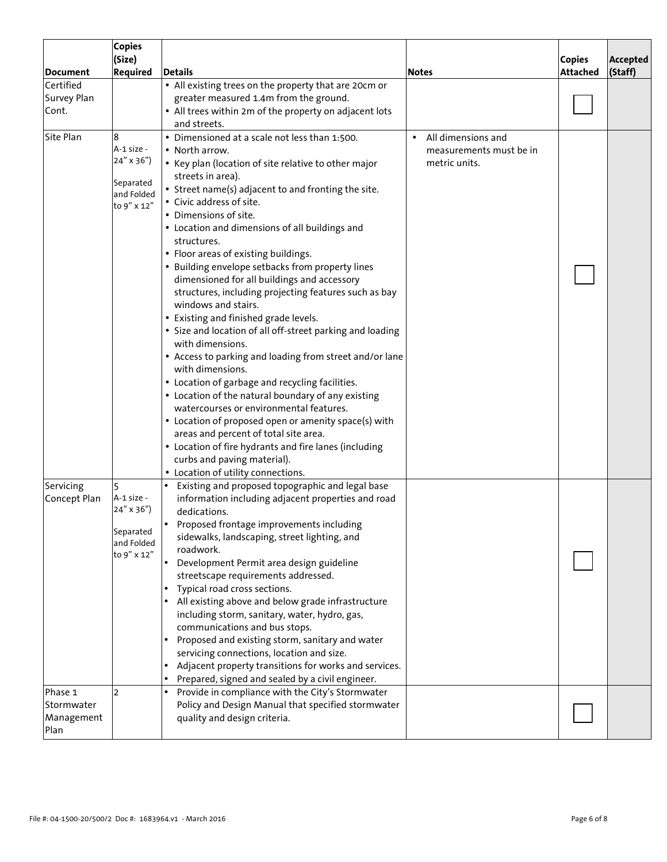|                                             | <b>Copies</b><br>(Size)                                                        |                                                                                                                                                                                                                                                                                                                                                                                                                                                                                                                                                                                                                                                                                                                                                                                                                                                                                                                                                                                                                                                                                                                                                  |                                                                             | <b>Copies</b>   | Accepted |
|---------------------------------------------|--------------------------------------------------------------------------------|--------------------------------------------------------------------------------------------------------------------------------------------------------------------------------------------------------------------------------------------------------------------------------------------------------------------------------------------------------------------------------------------------------------------------------------------------------------------------------------------------------------------------------------------------------------------------------------------------------------------------------------------------------------------------------------------------------------------------------------------------------------------------------------------------------------------------------------------------------------------------------------------------------------------------------------------------------------------------------------------------------------------------------------------------------------------------------------------------------------------------------------------------|-----------------------------------------------------------------------------|-----------------|----------|
| <b>Document</b>                             | <b>Required</b>                                                                | <b>Details</b>                                                                                                                                                                                                                                                                                                                                                                                                                                                                                                                                                                                                                                                                                                                                                                                                                                                                                                                                                                                                                                                                                                                                   | <b>Notes</b>                                                                | <b>Attached</b> | (Staff)  |
| Certified<br>Survey Plan<br>Cont.           |                                                                                | • All existing trees on the property that are 20cm or<br>greater measured 1.4m from the ground.<br>• All trees within 2m of the property on adjacent lots<br>and streets.                                                                                                                                                                                                                                                                                                                                                                                                                                                                                                                                                                                                                                                                                                                                                                                                                                                                                                                                                                        |                                                                             |                 |          |
| Site Plan                                   | 8<br>A-1 size -<br>24" x 36")<br>Separated<br>and Folded<br>to 9" x 12"        | • Dimensioned at a scale not less than 1:500.<br>• North arrow.<br>• Key plan (location of site relative to other major<br>streets in area).<br>• Street name(s) adjacent to and fronting the site.<br>• Civic address of site.<br>• Dimensions of site.<br>• Location and dimensions of all buildings and<br>structures.<br>• Floor areas of existing buildings.<br>• Building envelope setbacks from property lines<br>dimensioned for all buildings and accessory<br>structures, including projecting features such as bay<br>windows and stairs.<br>• Existing and finished grade levels.<br>• Size and location of all off-street parking and loading<br>with dimensions.<br>• Access to parking and loading from street and/or lane<br>with dimensions.<br>• Location of garbage and recycling facilities.<br>• Location of the natural boundary of any existing<br>watercourses or environmental features.<br>• Location of proposed open or amenity space(s) with<br>areas and percent of total site area.<br>• Location of fire hydrants and fire lanes (including<br>curbs and paving material).<br>• Location of utility connections. | All dimensions and<br>$\bullet$<br>measurements must be in<br>metric units. |                 |          |
| Servicing<br>Concept Plan                   | 5<br>A-1 size -<br>$24'' \times 36'$<br>Separated<br>and Folded<br>to 9" x 12" | Existing and proposed topographic and legal base<br>information including adjacent properties and road<br>dedications.<br>Proposed frontage improvements including<br>sidewalks, landscaping, street lighting, and<br>roadwork.<br>Development Permit area design guideline<br>streetscape requirements addressed.<br>Typical road cross sections.<br>All existing above and below grade infrastructure<br>including storm, sanitary, water, hydro, gas,<br>communications and bus stops.<br>Proposed and existing storm, sanitary and water<br>servicing connections, location and size.<br>Adjacent property transitions for works and services.<br>Prepared, signed and sealed by a civil engineer.                                                                                                                                                                                                                                                                                                                                                                                                                                           |                                                                             |                 |          |
| Phase 1<br>Stormwater<br>Management<br>Plan | $\overline{2}$                                                                 | Provide in compliance with the City's Stormwater<br>Policy and Design Manual that specified stormwater<br>quality and design criteria.                                                                                                                                                                                                                                                                                                                                                                                                                                                                                                                                                                                                                                                                                                                                                                                                                                                                                                                                                                                                           |                                                                             |                 |          |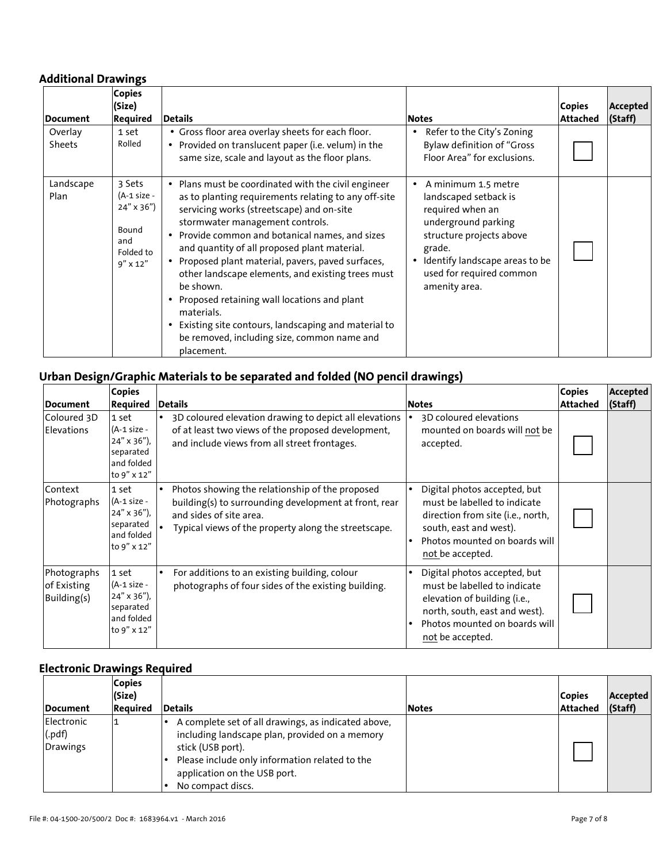### **Additional Drawings**

| <b>Document</b>   | <b>Copies</b><br>(Size)<br><b>Required</b>                                             | <b>Details</b>                                                                                                                                                                                                                                                                                                                                                                                                                                                                                                                                                                                              | <b>Notes</b>                                                                                                                                                                                                              | <b>Copies</b><br>Attached | Accepted<br>(Staff) |
|-------------------|----------------------------------------------------------------------------------------|-------------------------------------------------------------------------------------------------------------------------------------------------------------------------------------------------------------------------------------------------------------------------------------------------------------------------------------------------------------------------------------------------------------------------------------------------------------------------------------------------------------------------------------------------------------------------------------------------------------|---------------------------------------------------------------------------------------------------------------------------------------------------------------------------------------------------------------------------|---------------------------|---------------------|
| Overlay<br>Sheets | 1 set<br>Rolled                                                                        | • Gross floor area overlay sheets for each floor.<br>• Provided on translucent paper (i.e. velum) in the<br>same size, scale and layout as the floor plans.                                                                                                                                                                                                                                                                                                                                                                                                                                                 | Refer to the City's Zoning<br><b>Bylaw definition of "Gross</b><br>Floor Area" for exclusions.                                                                                                                            |                           |                     |
| Landscape<br>Plan | 3 Sets<br>(A-1 size -<br>$24'' \times 36'$<br>Bound<br>and<br>Folded to<br>$9''$ x 12" | • Plans must be coordinated with the civil engineer<br>as to planting requirements relating to any off-site<br>servicing works (streetscape) and on-site<br>stormwater management controls.<br>• Provide common and botanical names, and sizes<br>and quantity of all proposed plant material.<br>• Proposed plant material, pavers, paved surfaces,<br>other landscape elements, and existing trees must<br>be shown.<br>• Proposed retaining wall locations and plant<br>materials.<br>• Existing site contours, landscaping and material to<br>be removed, including size, common name and<br>placement. | A minimum 1.5 metre<br>landscaped setback is<br>required when an<br>underground parking<br>structure projects above<br>grade.<br>Identify landscape areas to be<br>$\bullet$<br>used for required common<br>amenity area. |                           |                     |

## **Urban Design/Graphic Materials to be separated and folded (NO pencil drawings)**

|                                           | <b>Copies</b>                                                                            |                                                                                                                                                                                                                                                                                                                                                                                 | <b>Copies</b>   | Accepted |
|-------------------------------------------|------------------------------------------------------------------------------------------|---------------------------------------------------------------------------------------------------------------------------------------------------------------------------------------------------------------------------------------------------------------------------------------------------------------------------------------------------------------------------------|-----------------|----------|
| Document                                  | Required                                                                                 | <b>Details</b><br><b>Notes</b>                                                                                                                                                                                                                                                                                                                                                  | <b>Attached</b> | (Staff)  |
| Coloured 3D<br><b>Elevations</b>          | 1 set<br>$(A-1 size -$<br>$24'' \times 36'$ ),<br>separated<br>and folded<br>to 9" x 12" | 3D coloured elevation drawing to depict all elevations<br>3D coloured elevations<br>of at least two views of the proposed development,<br>mounted on boards will not be<br>and include views from all street frontages.<br>accepted.                                                                                                                                            |                 |          |
| Context<br>Photographs                    | 1 set<br>(A-1 size -<br>$24'' \times 36'$ ),<br>separated<br>and folded<br>to 9" x 12"   | Photos showing the relationship of the proposed<br>Digital photos accepted, but<br>building(s) to surrounding development at front, rear<br>must be labelled to indicate<br>and sides of site area.<br>direction from site (i.e., north,<br>south, east and west).<br>Typical views of the property along the streetscape.<br>Photos mounted on boards will<br>not be accepted. |                 |          |
| Photographs<br>of Existing<br>Building(s) | 1 set<br>(A-1 size -<br>$24''$ x 36"),<br>separated<br>and folded<br>to 9" x 12"         | For additions to an existing building, colour<br>Digital photos accepted, but<br>photographs of four sides of the existing building.<br>must be labelled to indicate<br>elevation of building (i.e.,<br>north, south, east and west).<br>Photos mounted on boards will<br>not be accepted.                                                                                      |                 |          |

## **Electronic Drawings Required**

| <b>IDocument</b>                 | <b>Copies</b><br>(Size)<br>Required | <b>Details</b>                                                                                                                                                                                                                    | <b>Notes</b> | <b>Copies</b><br>Attached | Accepted<br>(Staff) |
|----------------------------------|-------------------------------------|-----------------------------------------------------------------------------------------------------------------------------------------------------------------------------------------------------------------------------------|--------------|---------------------------|---------------------|
| Electronic<br>(.pdf)<br>Drawings |                                     | A complete set of all drawings, as indicated above,<br>including landscape plan, provided on a memory<br>stick (USB port).<br>Please include only information related to the<br>application on the USB port.<br>No compact discs. |              |                           |                     |